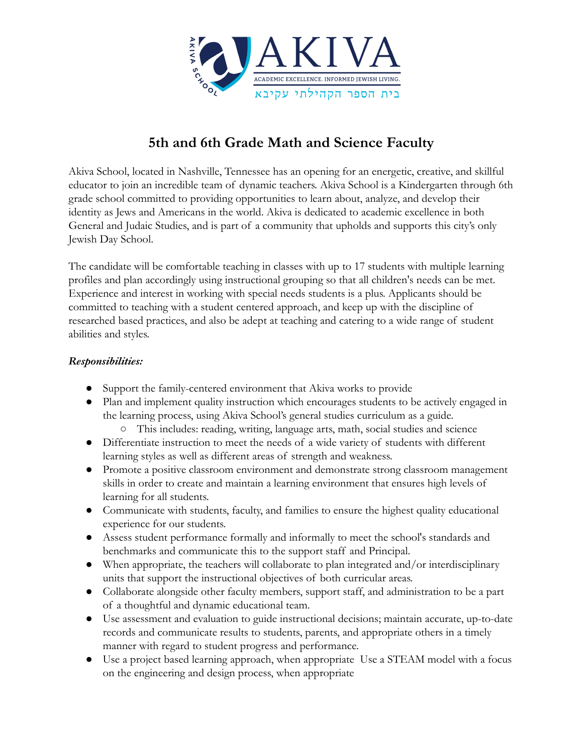

## **5th and 6th Grade Math and Science Faculty**

Akiva School, located in Nashville, Tennessee has an opening for an energetic, creative, and skillful educator to join an incredible team of dynamic teachers. Akiva School is a Kindergarten through 6th grade school committed to providing opportunities to learn about, analyze, and develop their identity as Jews and Americans in the world. Akiva is dedicated to academic excellence in both General and Judaic Studies, and is part of a community that upholds and supports this city's only Jewish Day School.

The candidate will be comfortable teaching in classes with up to 17 students with multiple learning profiles and plan accordingly using instructional grouping so that all children's needs can be met. Experience and interest in working with special needs students is a plus. Applicants should be committed to teaching with a student centered approach, and keep up with the discipline of researched based practices, and also be adept at teaching and catering to a wide range of student abilities and styles.

## *Responsibilities:*

- Support the family-centered environment that Akiva works to provide
- Plan and implement quality instruction which encourages students to be actively engaged in the learning process, using Akiva School's general studies curriculum as a guide.
	- This includes: reading, writing, language arts, math, social studies and science
- Differentiate instruction to meet the needs of a wide variety of students with different learning styles as well as different areas of strength and weakness.
- Promote a positive classroom environment and demonstrate strong classroom management skills in order to create and maintain a learning environment that ensures high levels of learning for all students.
- Communicate with students, faculty, and families to ensure the highest quality educational experience for our students.
- Assess student performance formally and informally to meet the school's standards and benchmarks and communicate this to the support staff and Principal.
- When appropriate, the teachers will collaborate to plan integrated and/or interdisciplinary units that support the instructional objectives of both curricular areas.
- Collaborate alongside other faculty members, support staff, and administration to be a part of a thoughtful and dynamic educational team.
- Use assessment and evaluation to guide instructional decisions; maintain accurate, up-to-date records and communicate results to students, parents, and appropriate others in a timely manner with regard to student progress and performance.
- Use a project based learning approach, when appropriate Use a STEAM model with a focus on the engineering and design process, when appropriate